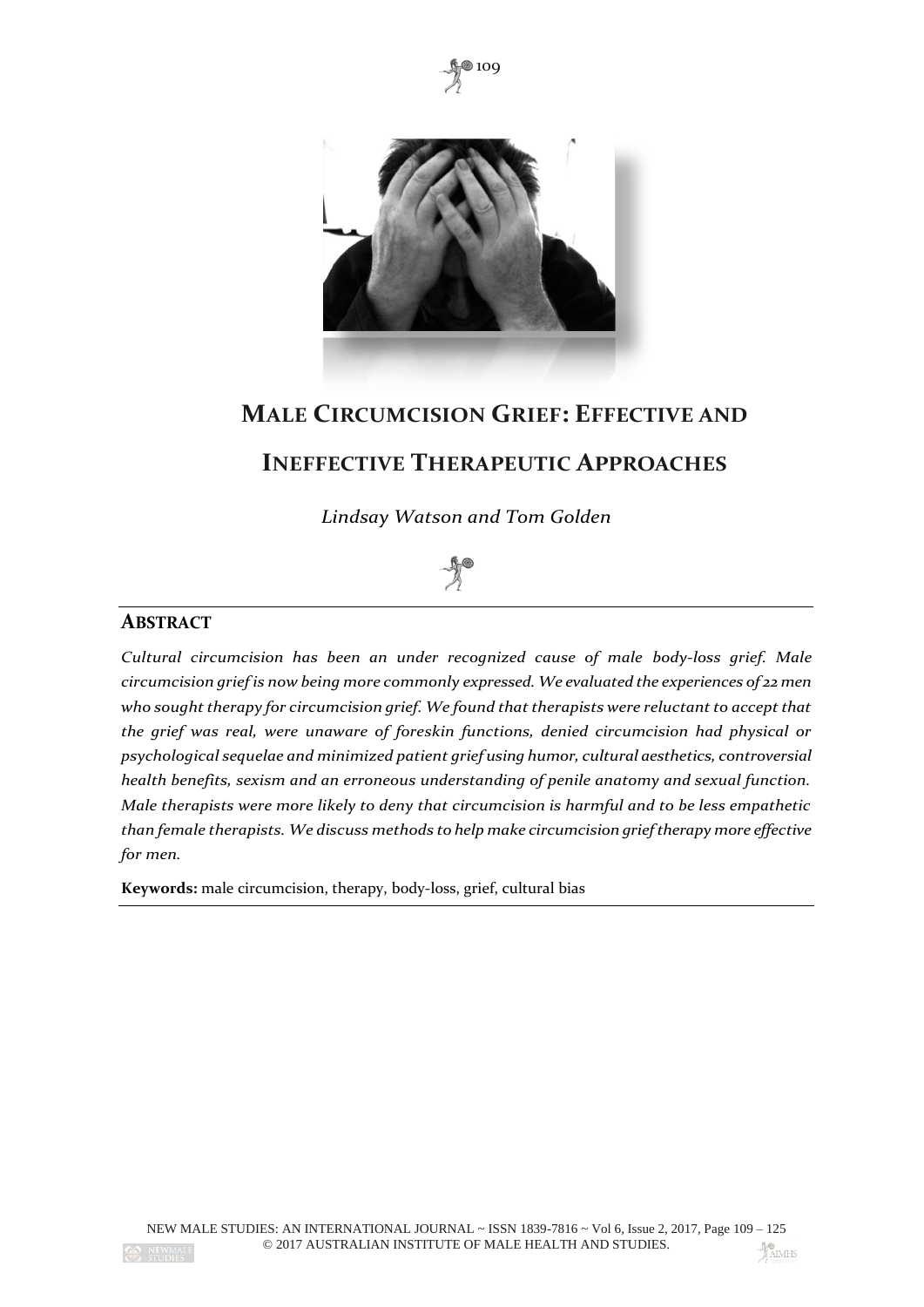



# **MALE CIRCUMCISION GRIEF: EFFECTIVE AND**

# **INEFFECTIVE THERAPEUTIC APPROACHES**

*Lindsay Watson and Tom Golden*



# **ABSTRACT**

*Cultural circumcision has been an under recognized cause of male body-loss grief. Male circumcision grief is now being more commonly expressed. We evaluated the experiences of 22 men who sought therapy for circumcision grief. We found that therapists were reluctant to accept that the grief was real, were unaware of foreskin functions, denied circumcision had physical or psychological sequelae and minimized patient grief using humor, cultural aesthetics, controversial health benefits, sexism and an erroneous understanding of penile anatomy and sexual function. Male therapists were more likely to deny that circumcision is harmful and to be less empathetic than female therapists. We discuss methods to help make circumcision grief therapy more effective for men.*

**Keywords:** male circumcision, therapy, body-loss, grief, cultural bias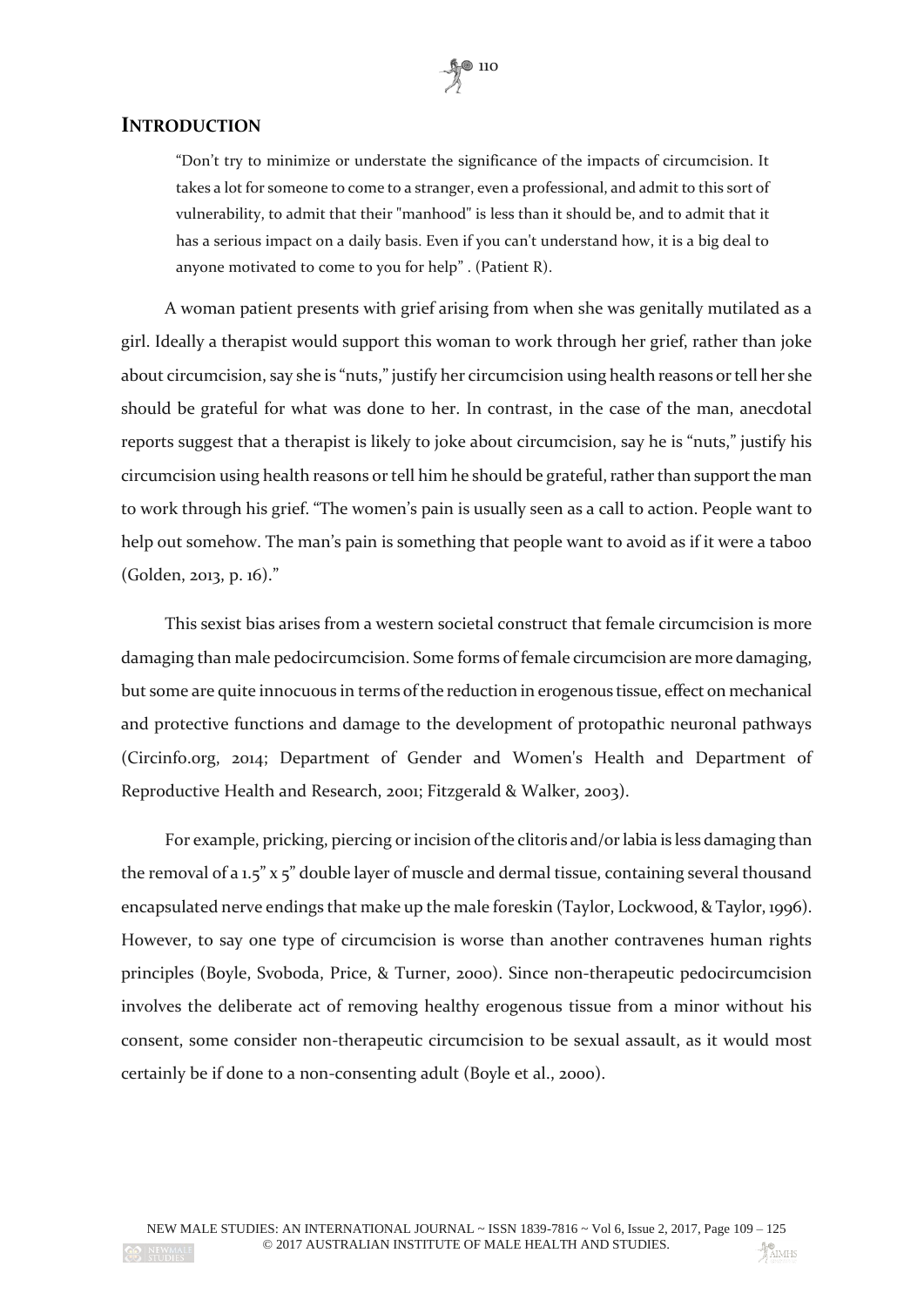## **INTRODUCTION**

"Don't try to minimize or understate the significance of the impacts of circumcision. It takes a lot for someone to come to a stranger, even a professional, and admit to this sort of vulnerability, to admit that their "manhood" is less than it should be, and to admit that it has a serious impact on a daily basis. Even if you can't understand how, it is a big deal to anyone motivated to come to you for help" . (Patient R).

A woman patient presents with grief arising from when she was genitally mutilated as a girl. Ideally a therapist would support this woman to work through her grief, rather than joke about circumcision, say she is "nuts," justify her circumcision using health reasons or tell her she should be grateful for what was done to her. In contrast, in the case of the man, anecdotal reports suggest that a therapist is likely to joke about circumcision, say he is "nuts," justify his circumcision using health reasons or tell him he should be grateful, rather than support the man to work through his grief. "The women's pain is usually seen as a call to action. People want to help out somehow. The man's pain is something that people want to avoid as if it were a taboo (Golden, 2013, p. 16)."

This sexist bias arises from a western societal construct that female circumcision is more damaging than male pedocircumcision. Some forms of female circumcision are more damaging, but some are quite innocuous in terms of the reduction in erogenous tissue, effect on mechanical and protective functions and damage to the development of protopathic neuronal pathways (Circinfo.org, 2014; Department of Gender and Women's Health and Department of Reproductive Health and Research, 2001; Fitzgerald & Walker, 2003).

For example, pricking, piercing or incision of the clitoris and/or labia is less damaging than the removal of a 1.5" x 5" double layer of muscle and dermal tissue, containing several thousand encapsulated nerve endings that make up the male foreskin (Taylor, Lockwood, & Taylor, 1996). However, to say one type of circumcision is worse than another contravenes human rights principles (Boyle, Svoboda, Price, & Turner, 2000). Since non-therapeutic pedocircumcision involves the deliberate act of removing healthy erogenous tissue from a minor without his consent, some consider non-therapeutic circumcision to be sexual assault, as it would most certainly be if done to a non-consenting adult (Boyle et al., 2000).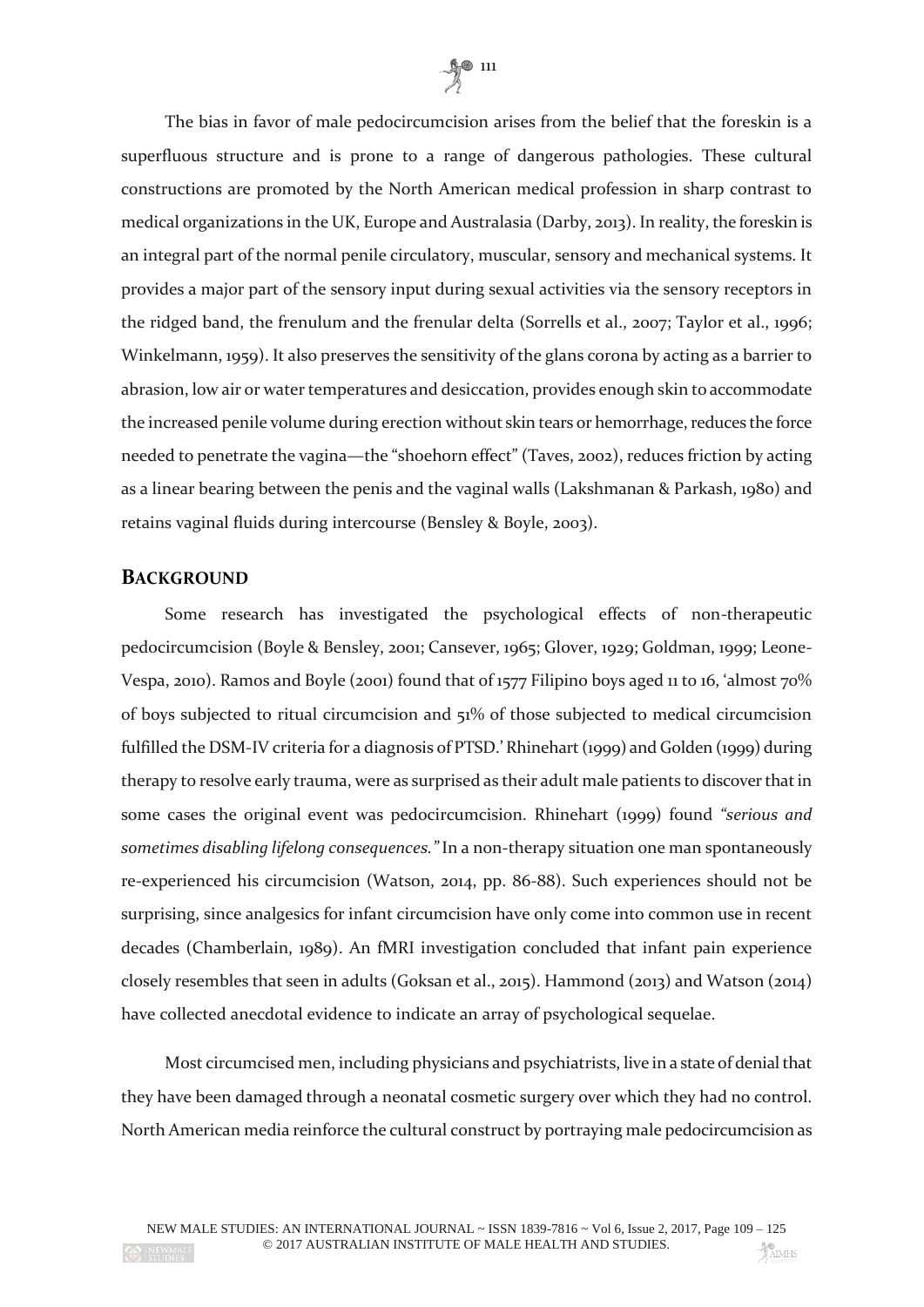

The bias in favor of male pedocircumcision arises from the belief that the foreskin is a superfluous structure and is prone to a range of dangerous pathologies. These cultural constructions are promoted by the North American medical profession in sharp contrast to medical organizations in the UK, Europe and Australasia (Darby, 2013). In reality, the foreskin is an integral part of the normal penile circulatory, muscular, sensory and mechanical systems. It provides a major part of the sensory input during sexual activities via the sensory receptors in the ridged band, the frenulum and the frenular delta (Sorrells et al., 2007; Taylor et al., 1996; Winkelmann, 1959). It also preserves the sensitivity of the glans corona by acting as a barrier to abrasion, low air or water temperatures and desiccation, provides enough skin to accommodate the increased penile volume during erection without skin tears or hemorrhage, reduces the force needed to penetrate the vagina—the "shoehorn effect" (Taves, 2002), reduces friction by acting as a linear bearing between the penis and the vaginal walls (Lakshmanan & Parkash, 1980) and retains vaginal fluids during intercourse (Bensley & Boyle, 2003).

#### **BACKGROUND**

Some research has investigated the psychological effects of non-therapeutic pedocircumcision (Boyle & Bensley, 2001; Cansever, 1965; Glover, 1929; Goldman, 1999; Leone-Vespa, 2010). Ramos and Boyle (2001) found that of 1577 Filipino boys aged 11 to 16, 'almost 70% of boys subjected to ritual circumcision and 51% of those subjected to medical circumcision fulfilled the DSM-IV criteria for a diagnosis of PTSD.' Rhinehart (1999) and Golden (1999) during therapy to resolve early trauma, were as surprised as their adult male patients to discover that in some cases the original event was pedocircumcision. Rhinehart (1999) found *"serious and sometimes disabling lifelong consequences."* In a non-therapy situation one man spontaneously re-experienced his circumcision (Watson, 2014, pp. 86-88). Such experiences should not be surprising, since analgesics for infant circumcision have only come into common use in recent decades (Chamberlain, 1989). An fMRI investigation concluded that infant pain experience closely resembles that seen in adults (Goksan et al., 2015). Hammond (2013) and Watson (2014) have collected anecdotal evidence to indicate an array of psychological sequelae.

Most circumcised men, including physicians and psychiatrists, live in a state of denial that they have been damaged through a neonatal cosmetic surgery over which they had no control. North American media reinforce the cultural construct by portraying male pedocircumcision as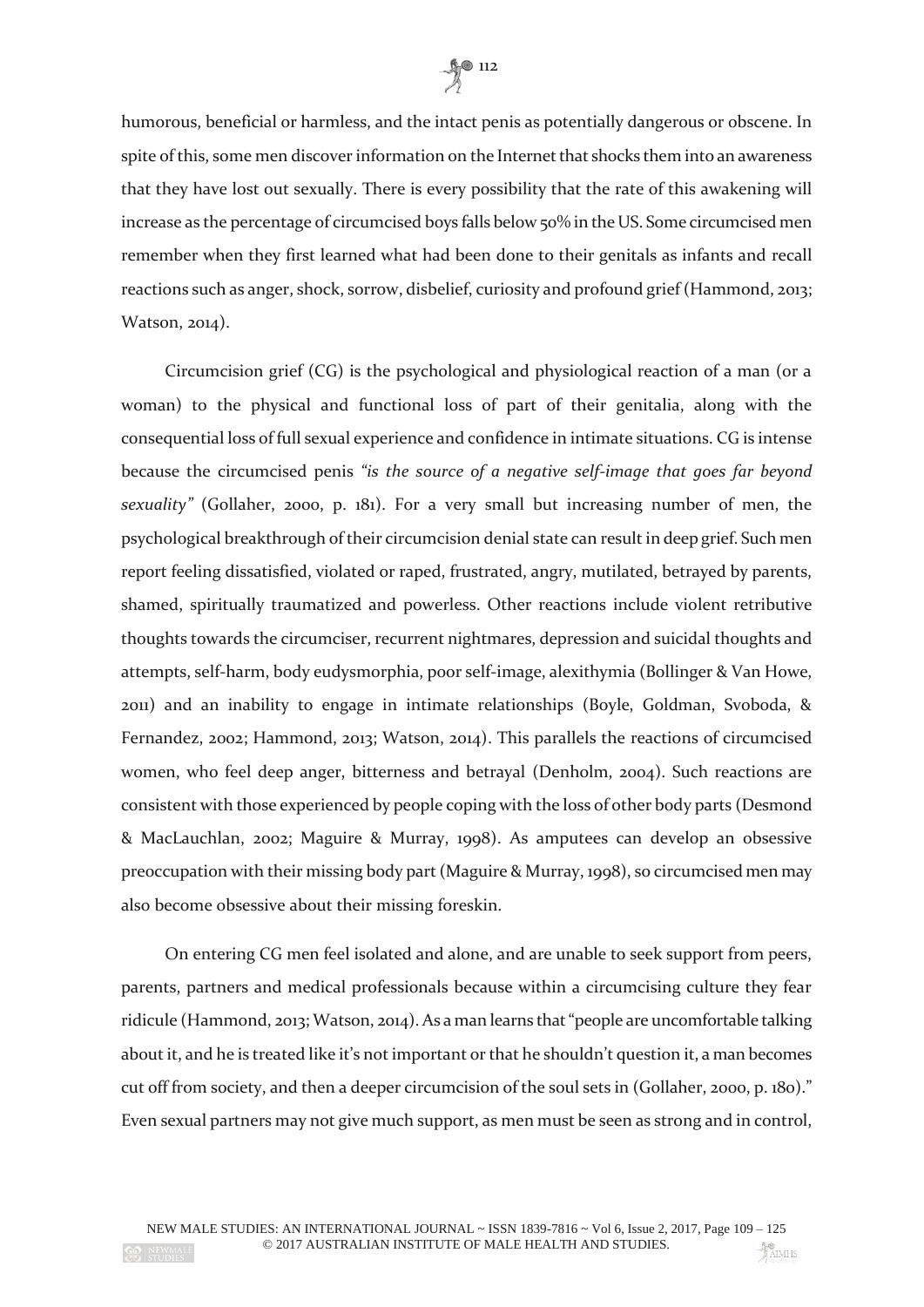

humorous, beneficial or harmless, and the intact penis as potentially dangerous or obscene. In spite of this, some men discover information on the Internet that shocks them into an awareness that they have lost out sexually. There is every possibility that the rate of this awakening will increase as the percentage of circumcised boys falls below 50% in the US. Some circumcised men remember when they first learned what had been done to their genitals as infants and recall reactions such as anger, shock, sorrow, disbelief, curiosity and profound grief (Hammond, 2013; Watson, 2014).

Circumcision grief (CG) is the psychological and physiological reaction of a man (or a woman) to the physical and functional loss of part of their genitalia, along with the consequential loss of full sexual experience and confidence in intimate situations. CG is intense because the circumcised penis *"is the source of a negative self-image that goes far beyond sexuality"* (Gollaher, 2000, p. 181). For a very small but increasing number of men, the psychological breakthrough of their circumcision denial state can result in deep grief. Such men report feeling dissatisfied, violated or raped, frustrated, angry, mutilated, betrayed by parents, shamed, spiritually traumatized and powerless. Other reactions include violent retributive thoughts towards the circumciser, recurrent nightmares, depression and suicidal thoughts and attempts, self-harm, body eudysmorphia, poor self-image, alexithymia (Bollinger & Van Howe, 2011) and an inability to engage in intimate relationships (Boyle, Goldman, Svoboda, & Fernandez, 2002; Hammond, 2013; Watson, 2014). This parallels the reactions of circumcised women, who feel deep anger, bitterness and betrayal (Denholm, 2004). Such reactions are consistent with those experienced by people coping with the loss of other body parts (Desmond & MacLauchlan, 2002; Maguire & Murray, 1998). As amputees can develop an obsessive preoccupation with their missing body part (Maguire & Murray, 1998), so circumcised men may also become obsessive about their missing foreskin.

On entering CG men feel isolated and alone, and are unable to seek support from peers, parents, partners and medical professionals because within a circumcising culture they fear ridicule (Hammond, 2013; Watson, 2014). As a man learns that "people are uncomfortable talking about it, and he is treated like it's not important or that he shouldn't question it, a man becomes cut off from society, and then a deeper circumcision of the soul sets in (Gollaher, 2000, p. 180)." Even sexual partners may not give much support, as men must be seen as strong and in control,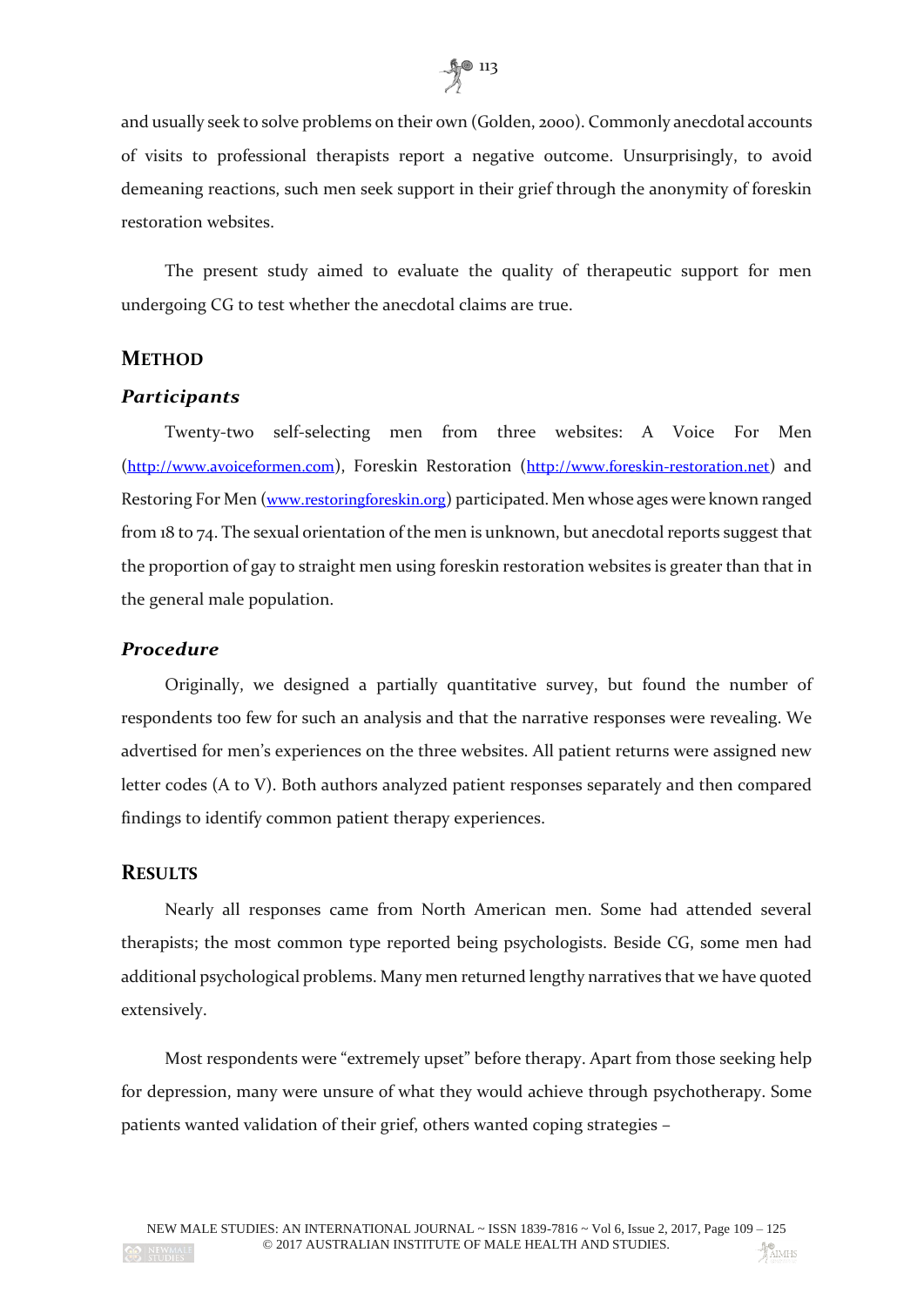

and usually seek to solve problems on their own (Golden, 2000). Commonly anecdotal accounts of visits to professional therapists report a negative outcome. Unsurprisingly, to avoid demeaning reactions, such men seek support in their grief through the anonymity of foreskin restoration websites.

The present study aimed to evaluate the quality of therapeutic support for men undergoing CG to test whether the anecdotal claims are true.

## **METHOD**

### *Participants*

Twenty-two self-selecting men from three websites: A Voice For Men ([http://www.avoiceformen.com](http://www.avoiceformen.com/)), Foreskin Restoration ([http://www.foreskin-restoration.net](http://www.foreskin-restoration.net/)) and Restoring For Men ([www.restoringforeskin.org](http://www.restoringforeskin.org/)) participated. Men whose ages were known ranged from 18 to 74. The sexual orientation of the men is unknown, but anecdotal reports suggest that the proportion of gay to straight men using foreskin restoration websites is greater than that in the general male population.

#### *Procedure*

Originally, we designed a partially quantitative survey, but found the number of respondents too few for such an analysis and that the narrative responses were revealing. We advertised for men's experiences on the three websites. All patient returns were assigned new letter codes (A to V). Both authors analyzed patient responses separately and then compared findings to identify common patient therapy experiences.

#### **RESULTS**

Nearly all responses came from North American men. Some had attended several therapists; the most common type reported being psychologists. Beside CG, some men had additional psychological problems. Many men returned lengthy narratives that we have quoted extensively.

Most respondents were "extremely upset" before therapy. Apart from those seeking help for depression, many were unsure of what they would achieve through psychotherapy. Some patients wanted validation of their grief, others wanted coping strategies –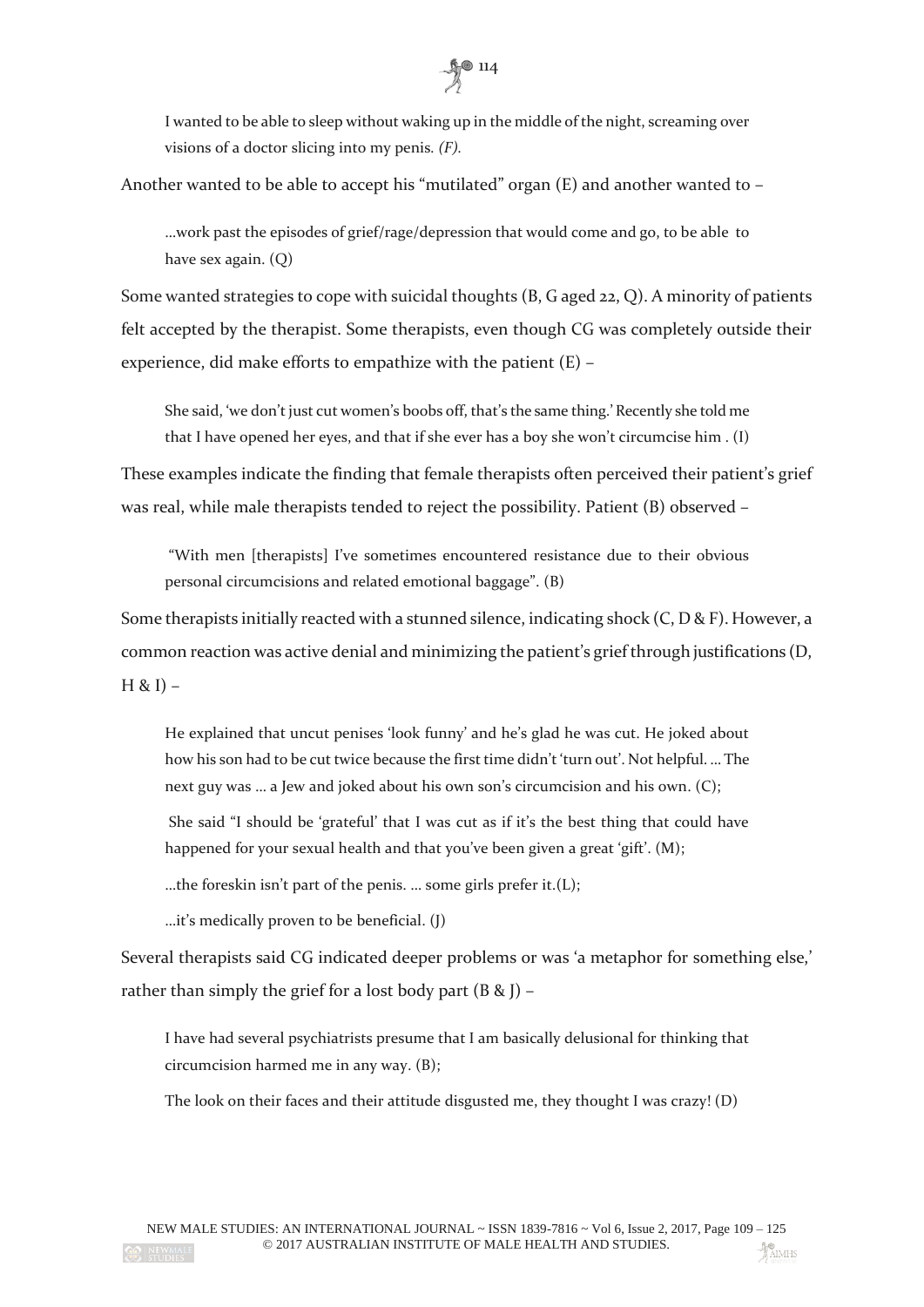

I wanted to be able to sleep without waking up in the middle of the night, screaming over visions of a doctor slicing into my penis*. (F).*

Another wanted to be able to accept his "mutilated" organ (E) and another wanted to –

…work past the episodes of grief/rage/depression that would come and go, to be able to have sex again. (Q)

Some wanted strategies to cope with suicidal thoughts (B, G aged 22, Q). A minority of patients felt accepted by the therapist. Some therapists, even though CG was completely outside their experience, did make efforts to empathize with the patient (E) –

She said, 'we don't just cut women's boobs off, that's the same thing.' Recently she told me that I have opened her eyes, and that if she ever has a boy she won't circumcise him . (I)

These examples indicate the finding that female therapists often perceived their patient's grief was real, while male therapists tended to reject the possibility. Patient (B) observed –

"With men [therapists] I've sometimes encountered resistance due to their obvious personal circumcisions and related emotional baggage". (B)

Some therapists initially reacted with a stunned silence, indicating shock  $(C, D & F)$ . However, a common reaction was active denial and minimizing the patient's grief through justifications (D,  $H 8I$ ) –

He explained that uncut penises 'look funny' and he's glad he was cut. He joked about how his son had to be cut twice because the first time didn't 'turn out'. Not helpful. … The next guy was … a Jew and joked about his own son's circumcision and his own. (C);

She said "I should be 'grateful' that I was cut as if it's the best thing that could have happened for your sexual health and that you've been given a great 'gift'. (M);

…the foreskin isn't part of the penis. … some girls prefer it.(L);

…it's medically proven to be beneficial. (J)

Several therapists said CG indicated deeper problems or was 'a metaphor for something else,' rather than simply the grief for a lost body part  $(B \& I)$  –

I have had several psychiatrists presume that I am basically delusional for thinking that circumcision harmed me in any way. (B);

The look on their faces and their attitude disgusted me, they thought I was crazy! (D)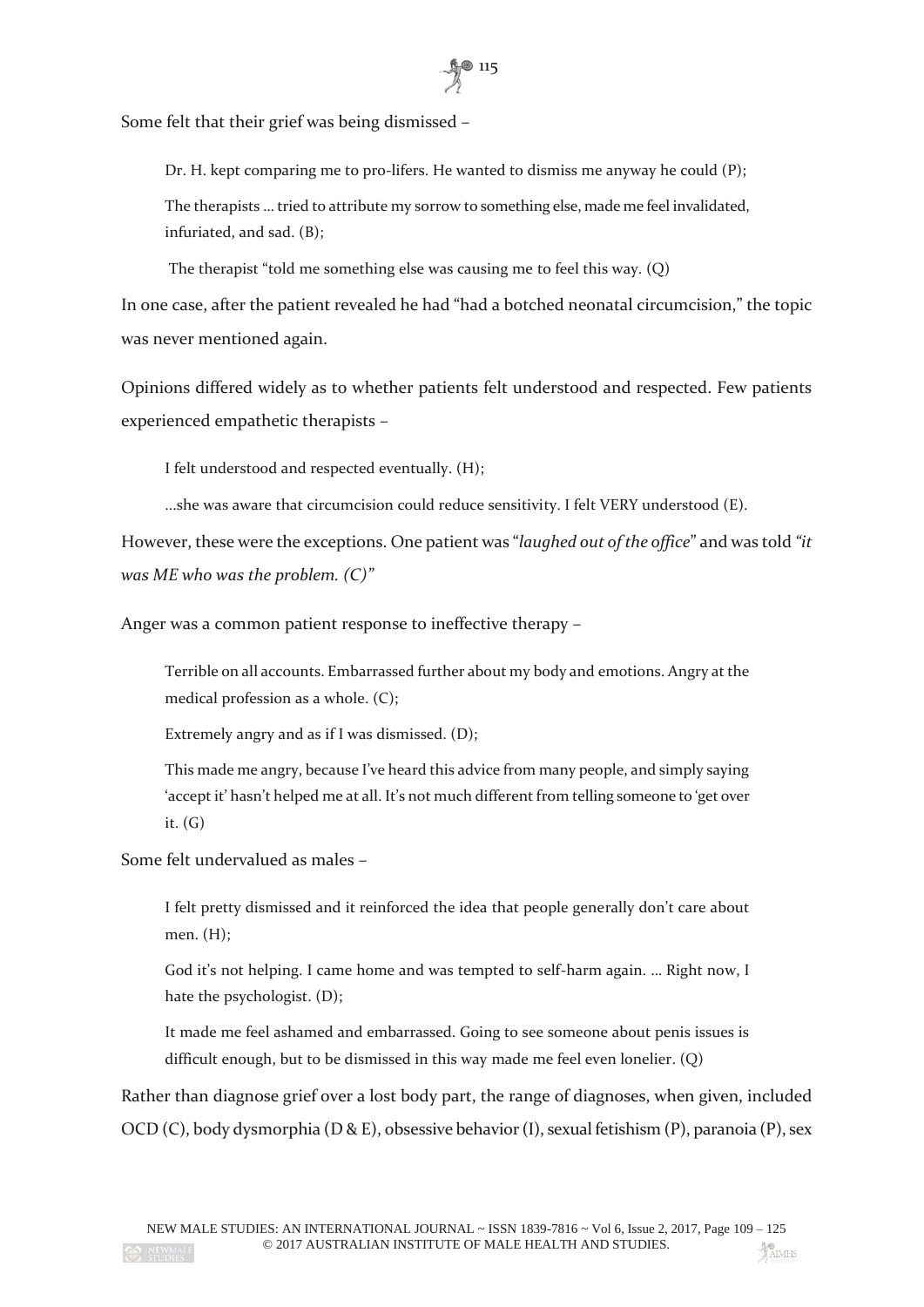

Some felt that their grief was being dismissed –

Dr. H. kept comparing me to pro-lifers. He wanted to dismiss me anyway he could (P);

The therapists … tried to attribute my sorrow to something else, made me feel invalidated, infuriated, and sad. (B);

The therapist "told me something else was causing me to feel this way. (Q)

In one case, after the patient revealed he had "had a botched neonatal circumcision," the topic was never mentioned again.

Opinions differed widely as to whether patients felt understood and respected. Few patients experienced empathetic therapists –

I felt understood and respected eventually. (H);

...she was aware that circumcision could reduce sensitivity. I felt VERY understood (E).

However, these were the exceptions. One patient was "*laughed out of the office*" and was told *"it was ME who was the problem. (C)"*

Anger was a common patient response to ineffective therapy –

Terrible on all accounts. Embarrassed further about my body and emotions. Angry at the medical profession as a whole. (C);

Extremely angry and as if I was dismissed. (D);

This made me angry, because I've heard this advice from many people, and simply saying 'accept it' hasn't helped me at all. It's not much different from telling someone to 'get over it. (G)

Some felt undervalued as males –

I felt pretty dismissed and it reinforced the idea that people generally don't care about men. (H);

God it's not helping. I came home and was tempted to self-harm again. … Right now, I hate the psychologist. (D);

It made me feel ashamed and embarrassed. Going to see someone about penis issues is difficult enough, but to be dismissed in this way made me feel even lonelier. (Q)

Rather than diagnose grief over a lost body part, the range of diagnoses, when given, included OCD (C), body dysmorphia (D & E), obsessive behavior (I), sexual fetishism (P), paranoia (P), sex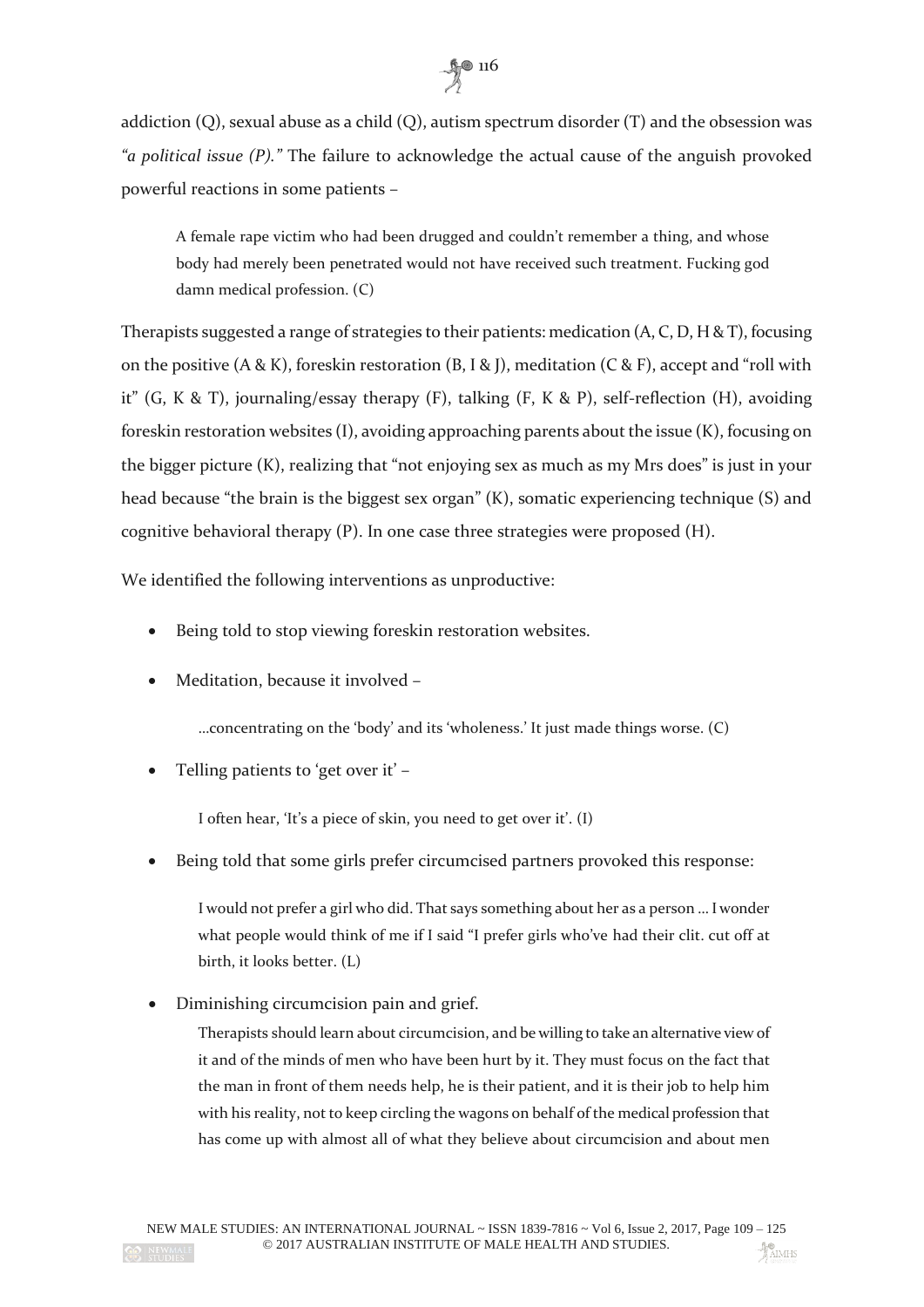

addiction (Q), sexual abuse as a child (Q), autism spectrum disorder (T) and the obsession was *"a political issue (P)."* The failure to acknowledge the actual cause of the anguish provoked powerful reactions in some patients –

A female rape victim who had been drugged and couldn't remember a thing, and whose body had merely been penetrated would not have received such treatment. Fucking god damn medical profession. (C)

Therapists suggested a range of strategies to their patients: medication  $(A, C, D, H & T)$ , focusing on the positive  $(A & K)$ , foreskin restoration  $(B, I & J)$ , meditation  $(C & F)$ , accept and "roll with it" (G, K & T), journaling/essay therapy (F), talking (F, K & P), self-reflection (H), avoiding foreskin restoration websites (I), avoiding approaching parents about the issue (K), focusing on the bigger picture (K), realizing that "not enjoying sex as much as my Mrs does" is just in your head because "the brain is the biggest sex organ" (K), somatic experiencing technique (S) and cognitive behavioral therapy (P). In one case three strategies were proposed (H).

We identified the following interventions as unproductive:

- Being told to stop viewing foreskin restoration websites.
- Meditation, because it involved –

…concentrating on the 'body' and its 'wholeness.' It just made things worse. (C)

Telling patients to 'get over it' –

I often hear, 'It's a piece of skin, you need to get over it'. (I)

Being told that some girls prefer circumcised partners provoked this response:

I would not prefer a girl who did. That says something about her as a person … I wonder what people would think of me if I said "I prefer girls who've had their clit. cut off at birth, it looks better. (L)

Diminishing circumcision pain and grief.

Therapists should learn about circumcision, and be willing to take an alternative view of it and of the minds of men who have been hurt by it. They must focus on the fact that the man in front of them needs help, he is their patient, and it is their job to help him with his reality, not to keep circling the wagons on behalf of the medical profession that has come up with almost all of what they believe about circumcision and about men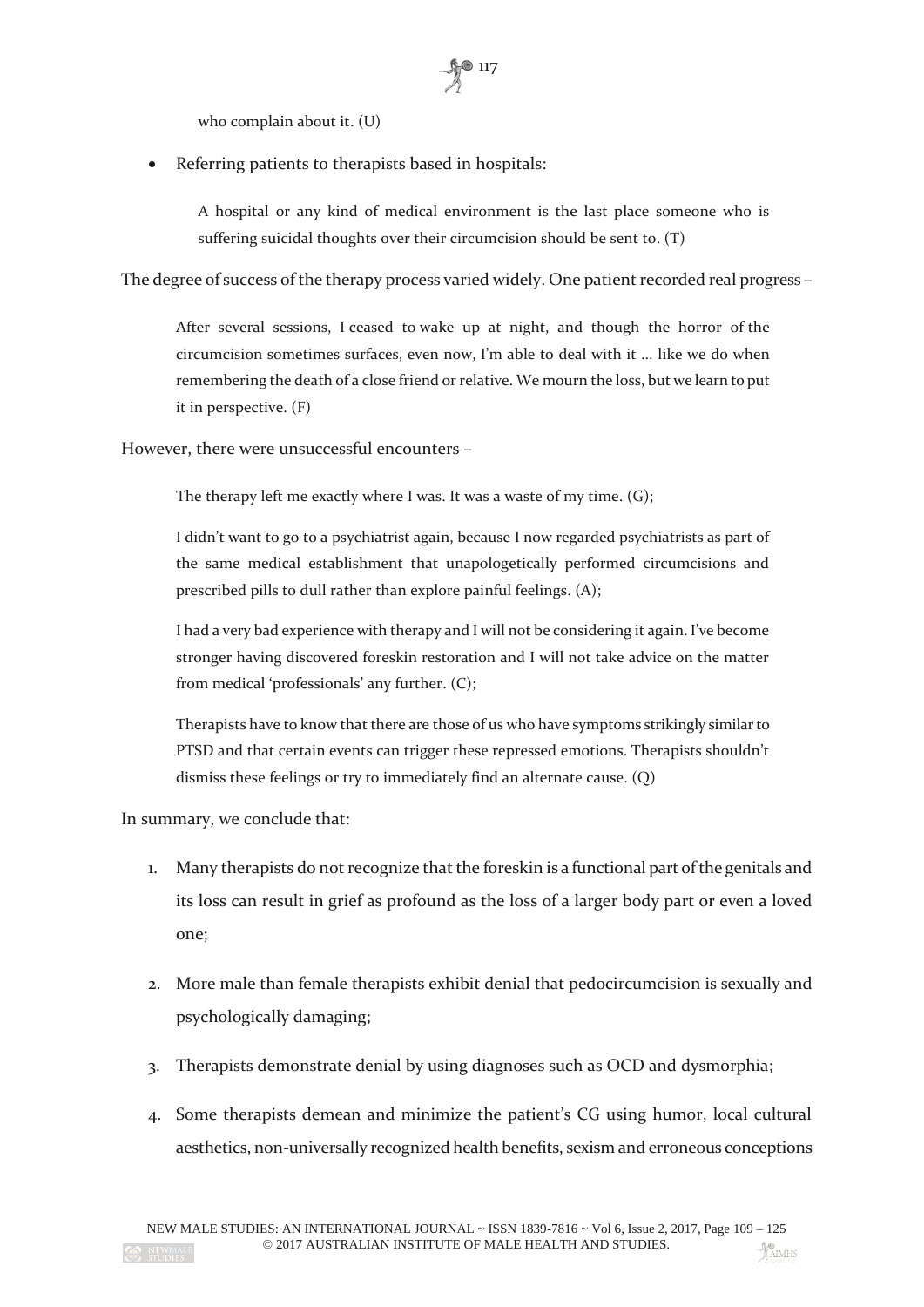who complain about it. (U)

Referring patients to therapists based in hospitals:

A hospital or any kind of medical environment is the last place someone who is suffering suicidal thoughts over their circumcision should be sent to. (T)

 $\frac{5}{2}$  117

The degree of success of the therapy process varied widely. One patient recorded real progress –

After several sessions, I ceased to wake up at night, and though the horror of the circumcision sometimes surfaces, even now, I'm able to deal with it ... like we do when remembering the death of a close friend or relative. We mourn the loss, but we learn to put it in perspective. (F)

However, there were unsuccessful encounters –

The therapy left me exactly where I was. It was a waste of my time. (G);

I didn't want to go to a psychiatrist again, because I now regarded psychiatrists as part of the same medical establishment that unapologetically performed circumcisions and prescribed pills to dull rather than explore painful feelings. (A);

I had a very bad experience with therapy and I will not be considering it again. I've become stronger having discovered foreskin restoration and I will not take advice on the matter from medical 'professionals' any further. (C);

Therapists have to know that there are those of us who have symptoms strikingly similar to PTSD and that certain events can trigger these repressed emotions. Therapists shouldn't dismiss these feelings or try to immediately find an alternate cause. (Q)

In summary, we conclude that:

- 1. Many therapists do not recognize that the foreskin is a functional part of the genitals and its loss can result in grief as profound as the loss of a larger body part or even a loved one;
- 2. More male than female therapists exhibit denial that pedocircumcision is sexually and psychologically damaging;
- 3. Therapists demonstrate denial by using diagnoses such as OCD and dysmorphia;
- 4. Some therapists demean and minimize the patient's CG using humor, local cultural aesthetics, non-universally recognized health benefits, sexism and erroneous conceptions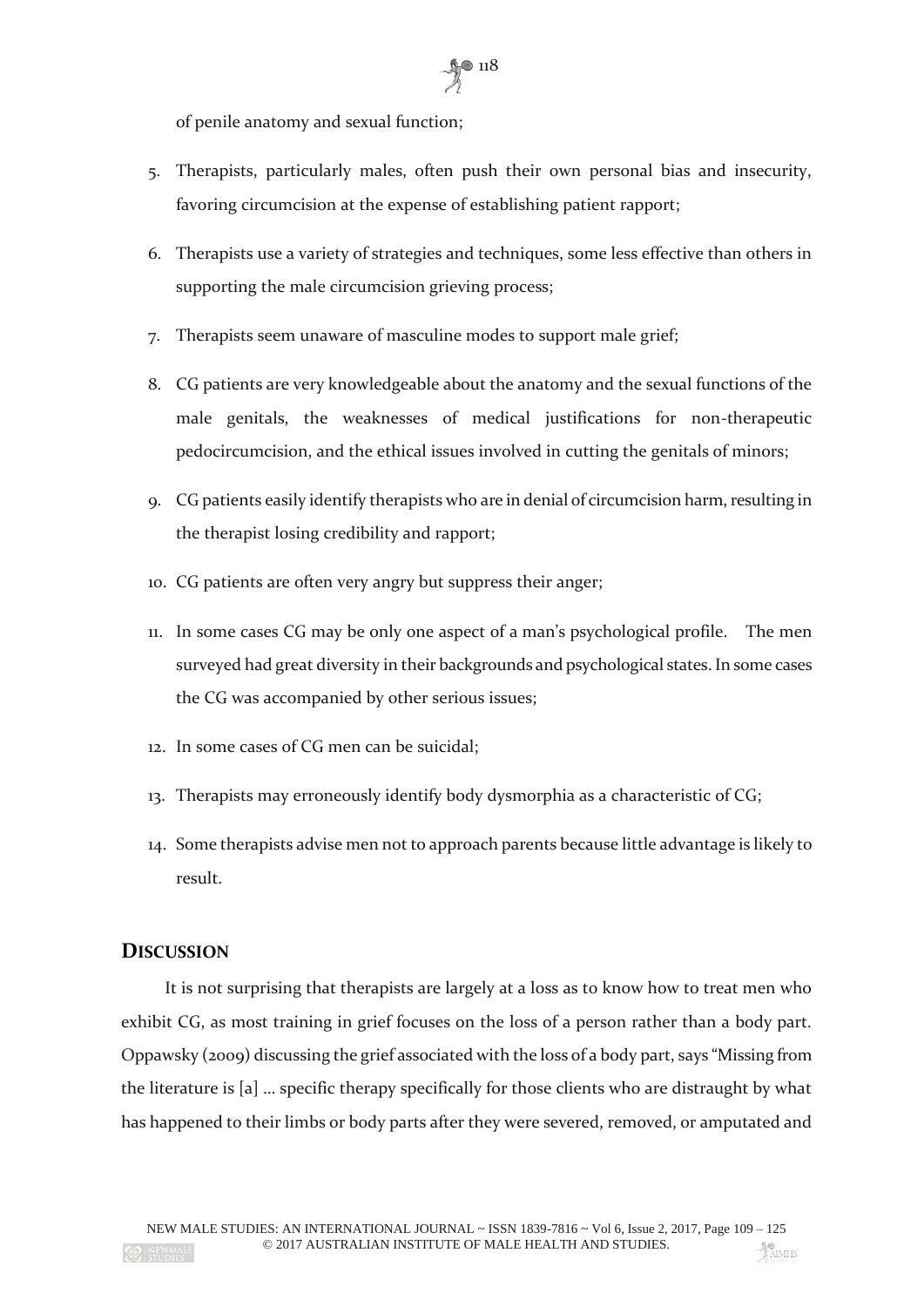

of penile anatomy and sexual function;

- 5. Therapists, particularly males, often push their own personal bias and insecurity, favoring circumcision at the expense of establishing patient rapport;
- 6. Therapists use a variety of strategies and techniques, some less effective than others in supporting the male circumcision grieving process;
- 7. Therapists seem unaware of masculine modes to support male grief;
- 8. CG patients are very knowledgeable about the anatomy and the sexual functions of the male genitals, the weaknesses of medical justifications for non-therapeutic pedocircumcision, and the ethical issues involved in cutting the genitals of minors;
- 9. CG patients easily identify therapists who are in denial of circumcision harm, resulting in the therapist losing credibility and rapport;
- 10. CG patients are often very angry but suppress their anger;
- 11. In some cases CG may be only one aspect of a man's psychological profile. The men surveyed had great diversity in their backgrounds and psychological states. In some cases the CG was accompanied by other serious issues;
- 12. In some cases of CG men can be suicidal;
- 13. Therapists may erroneously identify body dysmorphia as a characteristic of CG;
- 14. Some therapists advise men not to approach parents because little advantage is likely to result.

## **DISCUSSION**

It is not surprising that therapists are largely at a loss as to know how to treat men who exhibit CG, as most training in grief focuses on the loss of a person rather than a body part. Oppawsky (2009) discussing the grief associated with the loss of a body part, says "Missing from the literature is [a] … specific therapy specifically for those clients who are distraught by what has happened to their limbs or body parts after they were severed, removed, or amputated and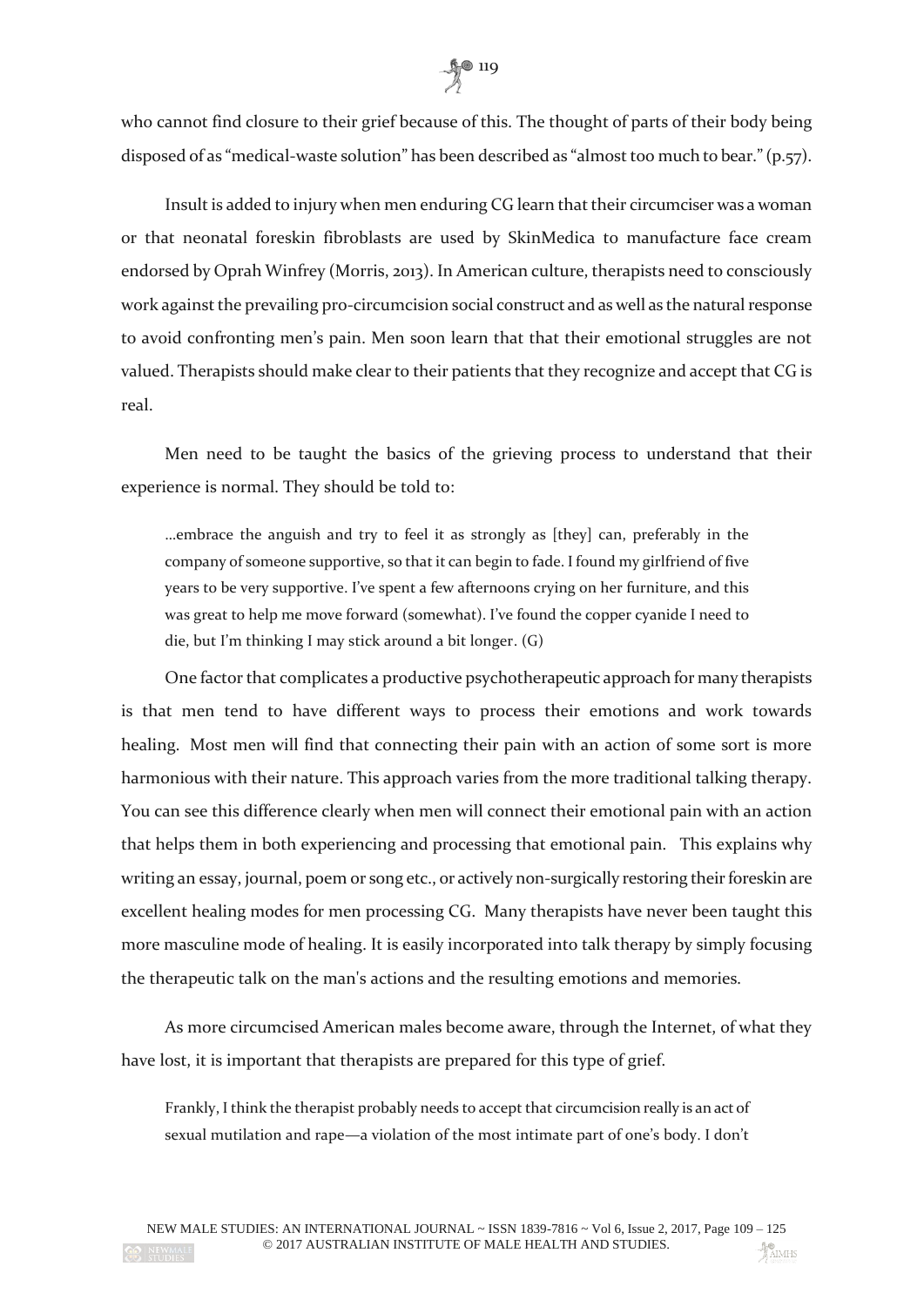

who cannot find closure to their grief because of this. The thought of parts of their body being disposed of as "medical-waste solution" has been described as "almost too much to bear." (p.57).

Insult is added to injury when men enduring CG learn that their circumciser was a woman or that neonatal foreskin fibroblasts are used by SkinMedica to manufacture face cream endorsed by Oprah Winfrey (Morris, 2013). In American culture, therapists need to consciously work against the prevailing pro-circumcision social construct and as well as the natural response to avoid confronting men's pain. Men soon learn that that their emotional struggles are not valued. Therapists should make clear to their patients that they recognize and accept that CG is real.

Men need to be taught the basics of the grieving process to understand that their experience is normal. They should be told to:

…embrace the anguish and try to feel it as strongly as [they] can, preferably in the company of someone supportive, so that it can begin to fade. I found my girlfriend of five years to be very supportive. I've spent a few afternoons crying on her furniture, and this was great to help me move forward (somewhat). I've found the copper cyanide I need to die, but I'm thinking I may stick around a bit longer. (G)

One factor that complicates a productive psychotherapeutic approach for many therapists is that men tend to have different ways to process their emotions and work towards healing. Most men will find that connecting their pain with an action of some sort is more harmonious with their nature. This approach varies from the more traditional talking therapy. You can see this difference clearly when men will connect their emotional pain with an action that helps them in both experiencing and processing that emotional pain. This explains why writing an essay, journal, poem or song etc., or actively non-surgically restoring their foreskin are excellent healing modes for men processing CG. Many therapists have never been taught this more masculine mode of healing. It is easily incorporated into talk therapy by simply focusing the therapeutic talk on the man's actions and the resulting emotions and memories.

As more circumcised American males become aware, through the Internet, of what they have lost, it is important that therapists are prepared for this type of grief.

Frankly, I think the therapist probably needs to accept that circumcision really is an act of sexual mutilation and rape—a violation of the most intimate part of one's body. I don't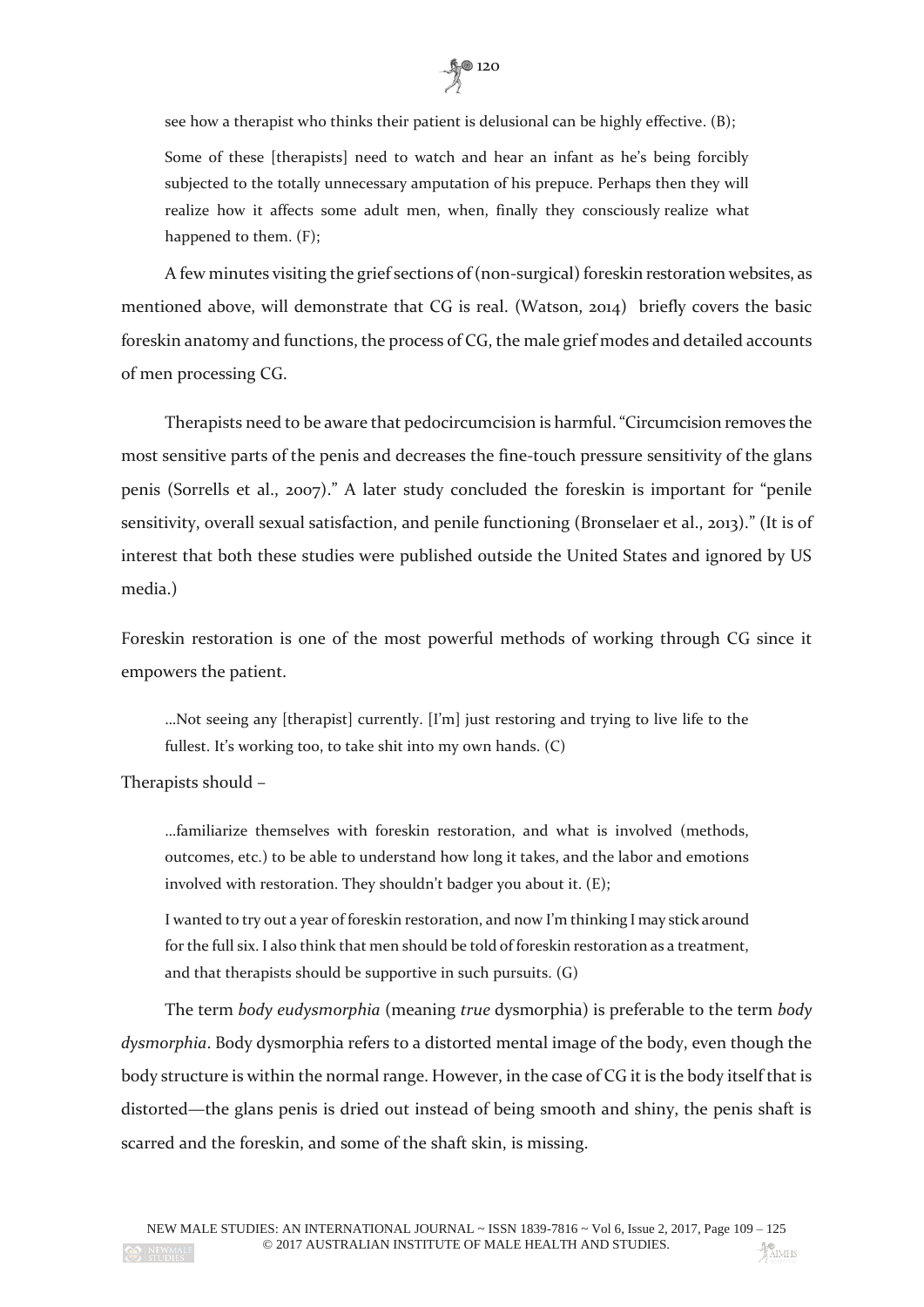

see how a therapist who thinks their patient is delusional can be highly effective. (B);

Some of these [therapists] need to watch and hear an infant as he's being forcibly subjected to the totally unnecessary amputation of his prepuce. Perhaps then they will realize how it affects some adult men, when, finally they consciously realize what happened to them. (F);

A few minutes visiting the grief sections of (non-surgical) foreskin restoration websites, as mentioned above, will demonstrate that CG is real. (Watson, 2014) briefly covers the basic foreskin anatomy and functions, the process of CG, the male grief modes and detailed accounts of men processing CG.

Therapists need to be aware that pedocircumcision is harmful. "Circumcision removes the most sensitive parts of the penis and decreases the fine-touch pressure sensitivity of the glans penis (Sorrells et al., 2007)." A later study concluded the foreskin is important for "penile sensitivity, overall sexual satisfaction, and penile functioning (Bronselaer et al., 2013)." (It is of interest that both these studies were published outside the United States and ignored by US media.)

Foreskin restoration is one of the most powerful methods of working through CG since it empowers the patient.

…Not seeing any [therapist] currently. [I'm] just restoring and trying to live life to the fullest. It's working too, to take shit into my own hands. (C)

Therapists should –

…familiarize themselves with foreskin restoration, and what is involved (methods, outcomes, etc.) to be able to understand how long it takes, and the labor and emotions involved with restoration. They shouldn't badger you about it. (E);

I wanted to try out a year of foreskin restoration, and now I'm thinking I may stick around for the full six. I also think that men should be told of foreskin restoration as a treatment, and that therapists should be supportive in such pursuits. (G)

The term *body eudysmorphia* (meaning *true* dysmorphia) is preferable to the term *body dysmorphia*. Body dysmorphia refers to a distorted mental image of the body, even though the body structure is within the normal range. However, in the case of CG it is the body itself that is distorted—the glans penis is dried out instead of being smooth and shiny, the penis shaft is scarred and the foreskin, and some of the shaft skin, is missing.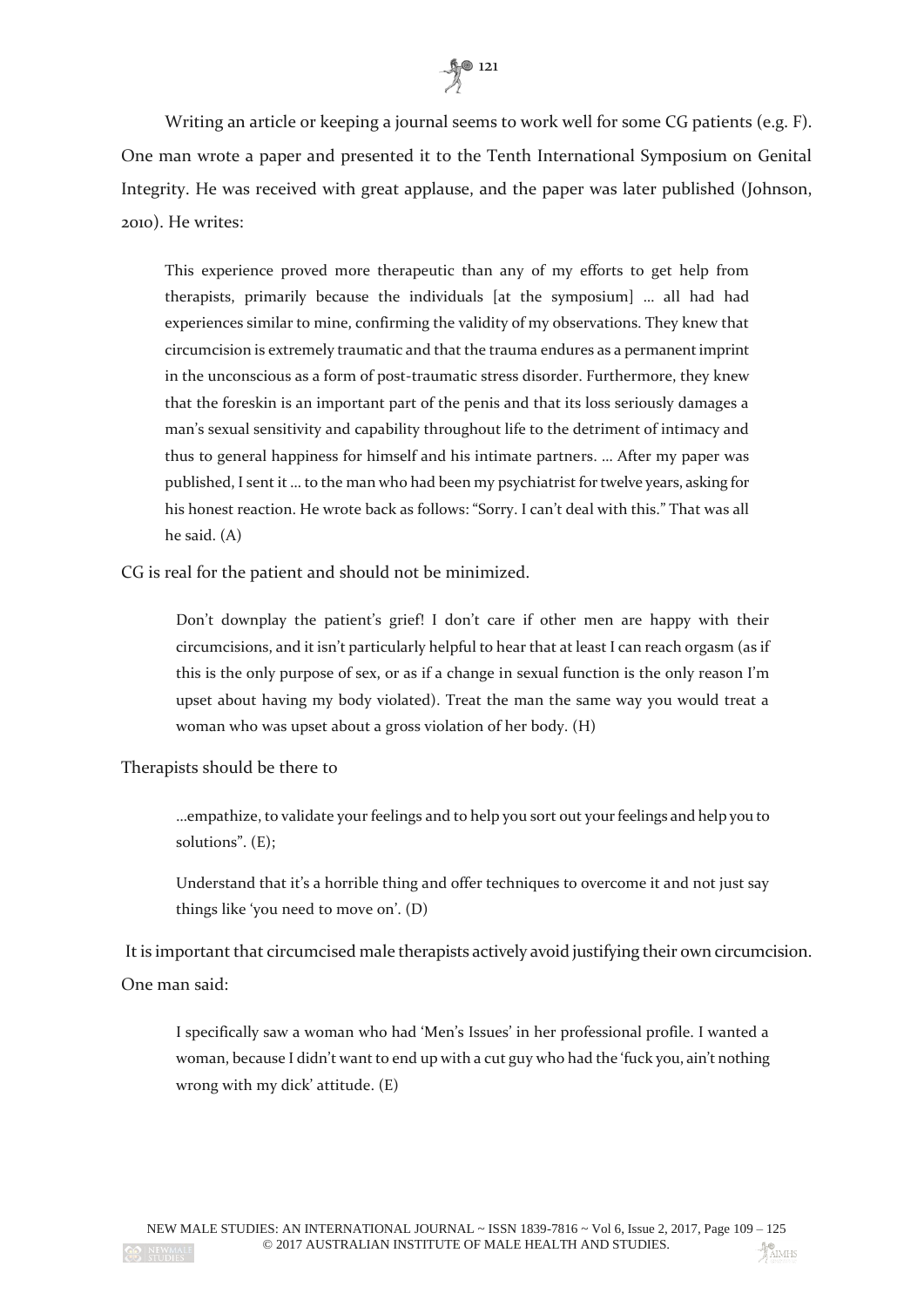

Writing an article or keeping a journal seems to work well for some CG patients (e.g. F). One man wrote a paper and presented it to the Tenth International Symposium on Genital Integrity. He was received with great applause, and the paper was later published (Johnson, 2010). He writes:

This experience proved more therapeutic than any of my efforts to get help from therapists, primarily because the individuals [at the symposium] … all had had experiences similar to mine, confirming the validity of my observations. They knew that circumcision is extremely traumatic and that the trauma endures as a permanent imprint in the unconscious as a form of post-traumatic stress disorder. Furthermore, they knew that the foreskin is an important part of the penis and that its loss seriously damages a man's sexual sensitivity and capability throughout life to the detriment of intimacy and thus to general happiness for himself and his intimate partners. … After my paper was published, I sent it … to the man who had been my psychiatrist for twelve years, asking for his honest reaction. He wrote back as follows: "Sorry. I can't deal with this." That was all he said. (A)

CG is real for the patient and should not be minimized.

Don't downplay the patient's grief! I don't care if other men are happy with their circumcisions, and it isn't particularly helpful to hear that at least I can reach orgasm (as if this is the only purpose of sex, or as if a change in sexual function is the only reason I'm upset about having my body violated). Treat the man the same way you would treat a woman who was upset about a gross violation of her body. (H)

#### Therapists should be there to

…empathize, to validate your feelings and to help you sort out your feelings and help you to solutions". (E);

Understand that it's a horrible thing and offer techniques to overcome it and not just say things like 'you need to move on'. (D)

It is important that circumcised male therapists actively avoid justifying their own circumcision. One man said:

I specifically saw a woman who had 'Men's Issues' in her professional profile. I wanted a woman, because I didn't want to end up with a cut guy who had the 'fuck you, ain't nothing wrong with my dick' attitude. (E)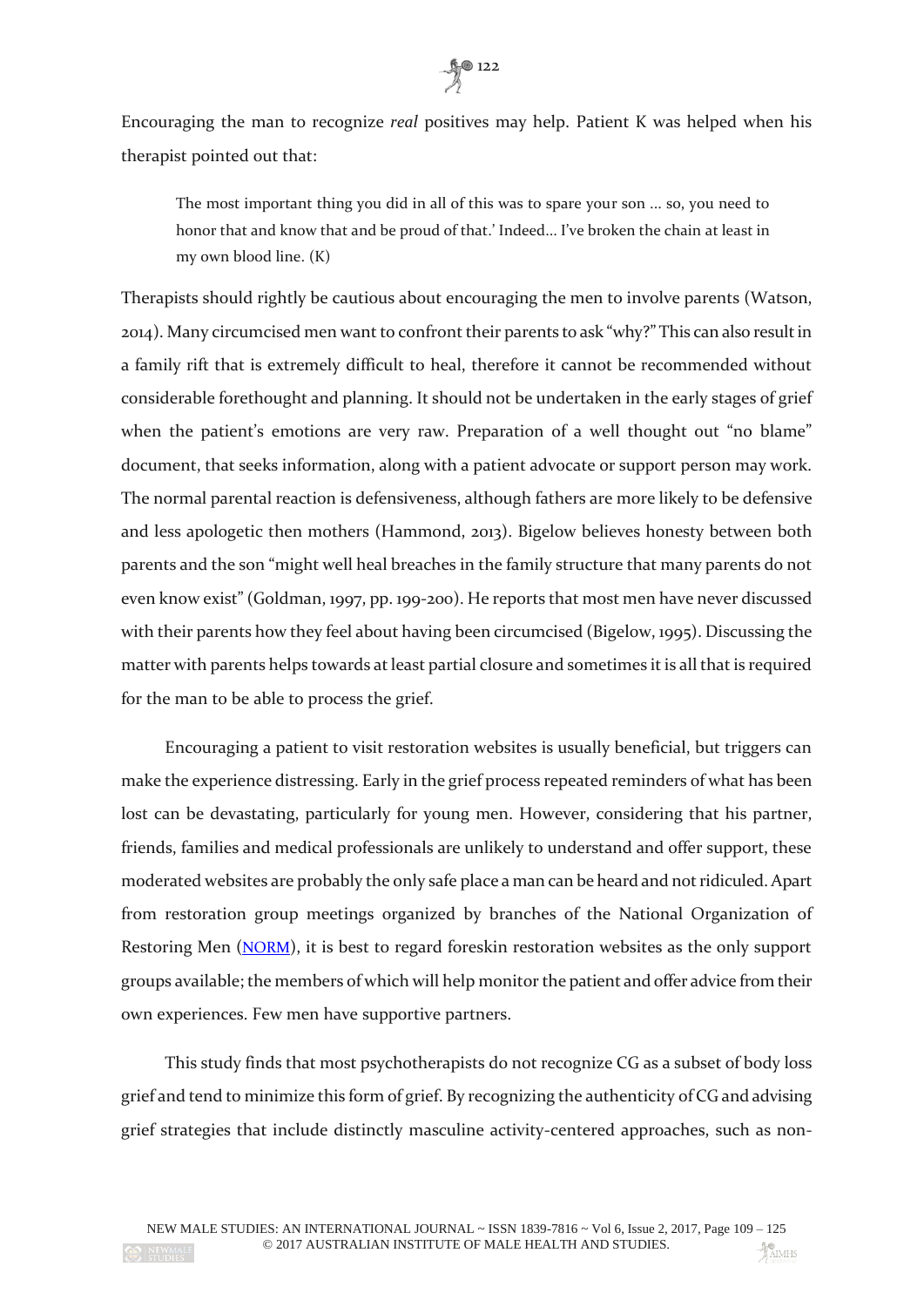

Encouraging the man to recognize *real* positives may help. Patient K was helped when his therapist pointed out that:

The most important thing you did in all of this was to spare your son ... so, you need to honor that and know that and be proud of that.' Indeed... I've broken the chain at least in my own blood line. (K)

Therapists should rightly be cautious about encouraging the men to involve parents (Watson, 2014). Many circumcised men want to confront their parents to ask "why?" This can also result in a family rift that is extremely difficult to heal, therefore it cannot be recommended without considerable forethought and planning. It should not be undertaken in the early stages of grief when the patient's emotions are very raw. Preparation of a well thought out "no blame" document, that seeks information, along with a patient advocate or support person may work. The normal parental reaction is defensiveness, although fathers are more likely to be defensive and less apologetic then mothers (Hammond, 2013). Bigelow believes honesty between both parents and the son "might well heal breaches in the family structure that many parents do not even know exist" (Goldman, 1997, pp. 199-200). He reports that most men have never discussed with their parents how they feel about having been circumcised (Bigelow, 1995). Discussing the matter with parents helps towards at least partial closure and sometimes it is all that is required for the man to be able to process the grief.

Encouraging a patient to visit restoration websites is usually beneficial, but triggers can make the experience distressing. Early in the grief process repeated reminders of what has been lost can be devastating, particularly for young men. However, considering that his partner, friends, families and medical professionals are unlikely to understand and offer support, these moderated websites are probably the only safe place a man can be heard and not ridiculed. Apart from restoration group meetings organized by branches of the National Organization of Restoring Men ([NORM](http://www.norm.org/)), it is best to regard foreskin restoration websites as the only support groups available; the members of which will help monitor the patient and offer advice from their own experiences. Few men have supportive partners.

This study finds that most psychotherapists do not recognize CG as a subset of body loss grief and tend to minimize this form of grief. By recognizing the authenticity of CG and advising grief strategies that include distinctly masculine activity-centered approaches, such as non-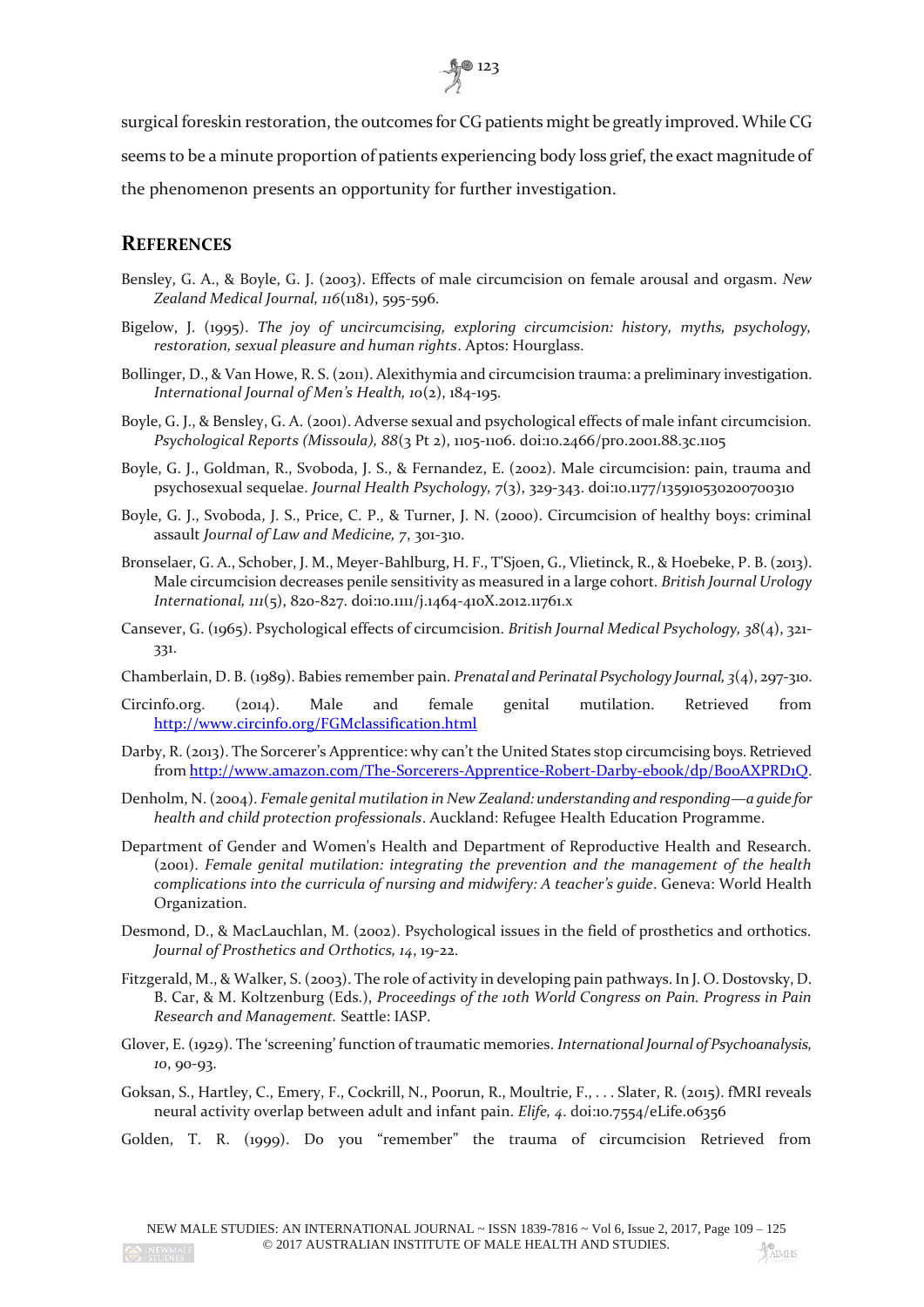

surgical foreskin restoration, the outcomes for CG patients might be greatly improved. While CG seems to be a minute proportion of patients experiencing body loss grief, the exact magnitude of the phenomenon presents an opportunity for further investigation.

## **REFERENCES**

- Bensley, G. A., & Boyle, G. J. (2003). Effects of male circumcision on female arousal and orgasm. *New Zealand Medical Journal, 116*(1181), 595-596.
- Bigelow, J. (1995). *The joy of uncircumcising, exploring circumcision: history, myths, psychology, restoration, sexual pleasure and human rights*. Aptos: Hourglass.
- Bollinger, D., & Van Howe, R. S. (2011). Alexithymia and circumcision trauma: a preliminary investigation. *International Journal of Men's Health, 10*(2), 184-195.
- Boyle, G. J., & Bensley, G. A. (2001). Adverse sexual and psychological effects of male infant circumcision. *Psychological Reports (Missoula), 88*(3 Pt 2), 1105-1106. doi:10.2466/pr0.2001.88.3c.1105
- Boyle, G. J., Goldman, R., Svoboda, J. S., & Fernandez, E. (2002). Male circumcision: pain, trauma and psychosexual sequelae. *Journal Health Psychology, 7*(3), 329-343. doi:10.1177/135910530200700310
- Boyle, G. J., Svoboda, J. S., Price, C. P., & Turner, J. N. (2000). Circumcision of healthy boys: criminal assault *Journal of Law and Medicine, 7*, 301-310.
- Bronselaer, G. A., Schober, J. M., Meyer-Bahlburg, H. F., T'Sjoen, G., Vlietinck, R., & Hoebeke, P. B. (2013). Male circumcision decreases penile sensitivity as measured in a large cohort. *British Journal Urology International, 111*(5), 820-827. doi:10.1111/j.1464-410X.2012.11761.x
- Cansever, G. (1965). Psychological effects of circumcision. *British Journal Medical Psychology, 38*(4), 321- 331.
- Chamberlain, D. B. (1989). Babies remember pain. *Prenatal and Perinatal Psychology Journal, 3*(4), 297-310.
- Circinfo.org. (2014). Male and female genital mutilation. Retrieved from <http://www.circinfo.org/FGMclassification.html>
- Darby, R. (2013). The Sorcerer's Apprentice: why can't the United States stop circumcising boys. Retrieved from http://www.amazon.com/The-Sorcerers-Apprentice-Robert-Darby-ebook/dp/BooAXPRD1O.
- Denholm, N. (2004). *Female genital mutilation in New Zealand: understanding and responding—a guide for health and child protection professionals*. Auckland: Refugee Health Education Programme.
- Department of Gender and Women's Health and Department of Reproductive Health and Research. (2001). *Female genital mutilation: integrating the prevention and the management of the health complications into the curricula of nursing and midwifery: A teacher's guide*. Geneva: World Health Organization.
- Desmond, D., & MacLauchlan, M. (2002). Psychological issues in the field of prosthetics and orthotics. *Journal of Prosthetics and Orthotics, 14*, 19-22.
- Fitzgerald, M., & Walker, S. (2003). The role of activity in developing pain pathways. In J. O. Dostovsky, D. B. Car, & M. Koltzenburg (Eds.), *Proceedings of the 10th World Congress on Pain. Progress in Pain Research and Management.* Seattle: IASP.
- Glover, E. (1929). The 'screening' function of traumatic memories. *International Journal of Psychoanalysis, 10*, 90-93.
- Goksan, S., Hartley, C., Emery, F., Cockrill, N., Poorun, R., Moultrie, F., . . . Slater, R. (2015). fMRI reveals neural activity overlap between adult and infant pain. *Elife, 4*. doi:10.7554/eLife.06356
- Golden, T. R. (1999). Do you "remember" the trauma of circumcision Retrieved from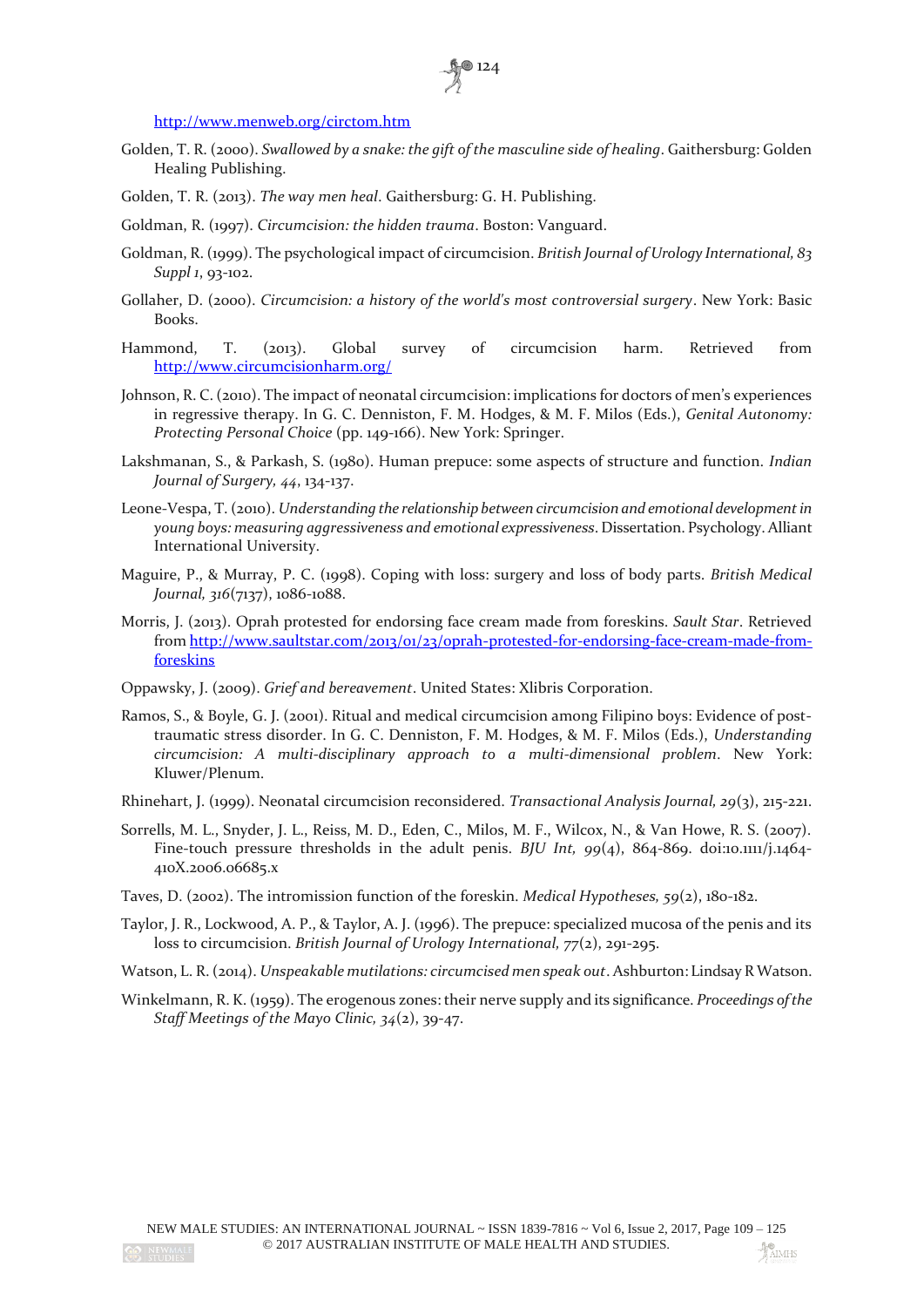

<http://www.menweb.org/circtom.htm>

- Golden, T. R. (2000). *Swallowed by a snake: the gift of the masculine side of healing*. Gaithersburg: Golden Healing Publishing.
- Golden, T. R. (2013). *The way men heal*. Gaithersburg: G. H. Publishing.
- Goldman, R. (1997). *Circumcision: the hidden trauma*. Boston: Vanguard.
- Goldman, R. (1999). The psychological impact of circumcision. *British Journal of Urology International, 83 Suppl 1*, 93-102.
- Gollaher, D. (2000). *Circumcision: a history of the world's most controversial surgery*. New York: Basic Books.
- Hammond, T. (2013). Global survey of circumcision harm. Retrieved from <http://www.circumcisionharm.org/>
- Johnson, R. C. (2010). The impact of neonatal circumcision: implications for doctors of men's experiences in regressive therapy. In G. C. Denniston, F. M. Hodges, & M. F. Milos (Eds.), *Genital Autonomy: Protecting Personal Choice* (pp. 149-166). New York: Springer.
- Lakshmanan, S., & Parkash, S. (1980). Human prepuce: some aspects of structure and function. *Indian Journal of Surgery, 44*, 134-137.
- Leone-Vespa, T. (2010). *Understanding the relationship between circumcision and emotional development in young boys: measuring aggressiveness and emotional expressiveness*. Dissertation. Psychology. Alliant International University.
- Maguire, P., & Murray, P. C. (1998). Coping with loss: surgery and loss of body parts. *British Medical Journal, 316*(7137), 1086-1088.
- Morris, J. (2013). Oprah protested for endorsing face cream made from foreskins. *Sault Star*. Retrieved fro[m http://www.saultstar.com/2013/01/23/oprah-protested-for-endorsing-face-cream-made-from](http://www.saultstar.com/2013/01/23/oprah-protested-for-endorsing-face-cream-made-from-foreskins)[foreskins](http://www.saultstar.com/2013/01/23/oprah-protested-for-endorsing-face-cream-made-from-foreskins)
- Oppawsky, J. (2009). *Grief and bereavement*. United States: Xlibris Corporation.
- Ramos, S., & Boyle, G. J. (2001). Ritual and medical circumcision among Filipino boys: Evidence of posttraumatic stress disorder. In G. C. Denniston, F. M. Hodges, & M. F. Milos (Eds.), *Understanding circumcision: A multi-disciplinary approach to a multi-dimensional problem*. New York: Kluwer/Plenum.
- Rhinehart, J. (1999). Neonatal circumcision reconsidered. *Transactional Analysis Journal, 29*(3), 215-221.
- Sorrells, M. L., Snyder, J. L., Reiss, M. D., Eden, C., Milos, M. F., Wilcox, N., & Van Howe, R. S. (2007). Fine-touch pressure thresholds in the adult penis. *BJU Int*, 99(4), 864-869. doi:10.1111/j.1464-410X.2006.06685.x
- Taves, D. (2002). The intromission function of the foreskin. *Medical Hypotheses, 59*(2), 180-182.
- Taylor, J. R., Lockwood, A. P., & Taylor, A. J. (1996). The prepuce: specialized mucosa of the penis and its loss to circumcision. *British Journal of Urology International, 77*(2), 291-295.
- Watson, L. R. (2014). *Unspeakable mutilations: circumcised men speak out*. Ashburton: Lindsay R Watson.
- Winkelmann, R. K. (1959). The erogenous zones: their nerve supply and its significance. *Proceedings of the Staff Meetings of the Mayo Clinic, 34*(2), 39-47.